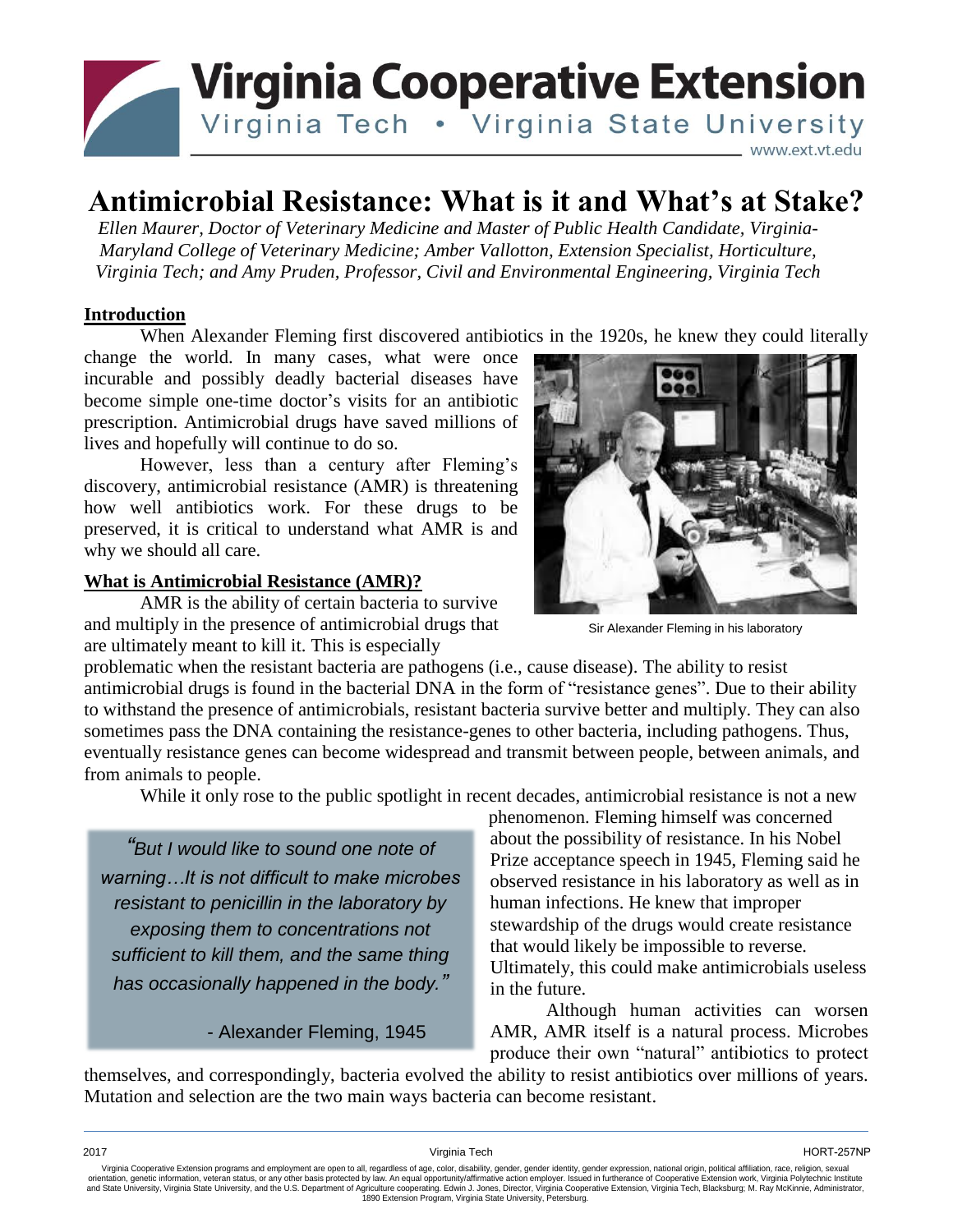

# **Antimicrobial Resistance: What is it and What's at Stake?**

*Ellen Maurer, Doctor of Veterinary Medicine and Master of Public Health Candidate, Virginia-Maryland College of Veterinary Medicine; Amber Vallotton, Extension Specialist, Horticulture, Virginia Tech; and Amy Pruden, Professor, Civil and Environmental Engineering, Virginia Tech*

## **Introduction**

When Alexander Fleming first discovered antibiotics in the 1920s, he knew they could literally

change the world. In many cases, what were once incurable and possibly deadly bacterial diseases have become simple one-time doctor's visits for an antibiotic prescription. Antimicrobial drugs have saved millions of lives and hopefully will continue to do so.

However, less than a century after Fleming's discovery, antimicrobial resistance (AMR) is threatening how well antibiotics work. For these drugs to be preserved, it is critical to understand what AMR is and why we should all care.

## **What is Antimicrobial Resistance (AMR)?**

AMR is the ability of certain bacteria to survive and multiply in the presence of antimicrobial drugs that are ultimately meant to kill it. This is especially



Sir Alexander Fleming in his laboratory

problematic when the resistant bacteria are pathogens (i.e., cause disease). The ability to resist antimicrobial drugs is found in the bacterial DNA in the form of "resistance genes". Due to their ability to withstand the presence of antimicrobials, resistant bacteria survive better and multiply. They can also sometimes pass the DNA containing the resistance-genes to other bacteria, including pathogens. Thus, eventually resistance genes can become widespread and transmit between people, between animals, and from animals to people.

While it only rose to the public spotlight in recent decades, antimicrobial resistance is not a new

*"But I would like to sound one note of warning…It is not difficult to make microbes resistant to penicillin in the laboratory by exposing them to concentrations not sufficient to kill them, and the same thing has occasionally happened in the body."*

- Alexander Fleming, 1945

phenomenon. Fleming himself was concerned about the possibility of resistance. In his Nobel Prize acceptance speech in 1945, Fleming said he observed resistance in his laboratory as well as in human infections. He knew that improper stewardship of the drugs would create resistance that would likely be impossible to reverse. Ultimately, this could make antimicrobials useless in the future.

Although human activities can worsen AMR, AMR itself is a natural process. Microbes produce their own "natural" antibiotics to protect

themselves, and correspondingly, bacteria evolved the ability to resist antibiotics over millions of years. Mutation and selection are the two main ways bacteria can become resistant.

2017 Virginia Tech HORT-257NP

Virginia Cooperative Extension programs and employment are open to all, regardless of age, color, disability, gender, gender identity, gender expression, national origin, political affiliation, race, religion, sexual orientation, genetic information, veteran status, or any other basis protected by law. An equal opportunity/affirmative action employer. Issued in furtherance of Cooperative Extension work, Virginia Polytechnic Institute<br>a 1890 Extension Program, Virginia State University, Petersburg.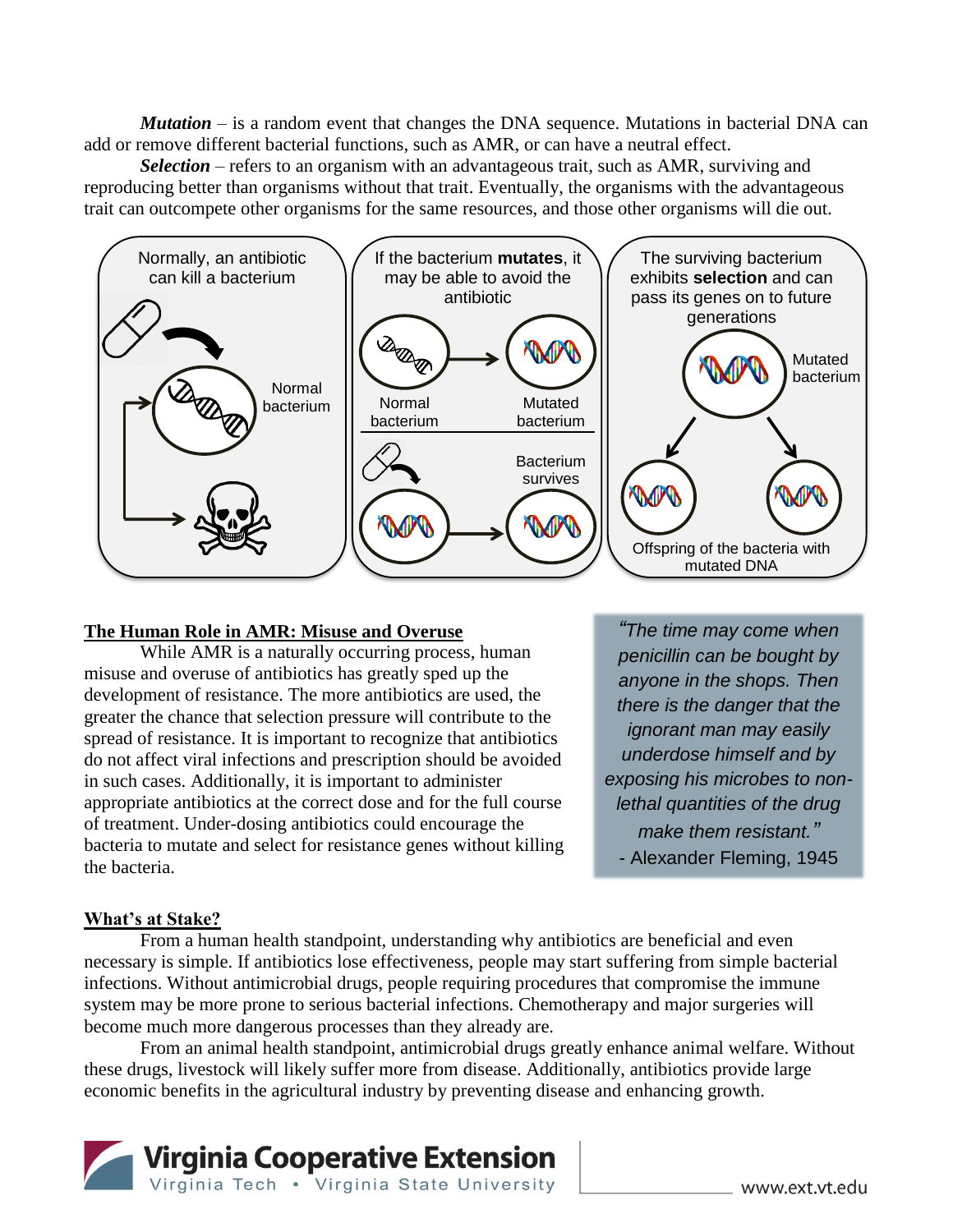*Mutation* – is a random event that changes the DNA sequence. Mutations in bacterial DNA can add or remove different bacterial functions, such as AMR, or can have a neutral effect.

*Selection* – refers to an organism with an advantageous trait, such as AMR, surviving and reproducing better than organisms without that trait. Eventually, the organisms with the advantageous trait can outcompete other organisms for the same resources, and those other organisms will die out.



#### **The Human Role in AMR: Misuse and Overuse**

While AMR is a naturally occurring process, human misuse and overuse of antibiotics has greatly sped up the development of resistance. The more antibiotics are used, the greater the chance that selection pressure will contribute to the spread of resistance. It is important to recognize that antibiotics do not affect viral infections and prescription should be avoided in such cases. Additionally, it is important to administer appropriate antibiotics at the correct dose and for the full course of treatment. Under-dosing antibiotics could encourage the bacteria to mutate and select for resistance genes without killing the bacteria.

*"The time may come when penicillin can be bought by anyone in the shops. Then there is the danger that the ignorant man may easily underdose himself and by exposing his microbes to nonlethal quantities of the drug make them resistant."* - Alexander Fleming, 1945

### **What's at Stake?**

From a human health standpoint, understanding why antibiotics are beneficial and even necessary is simple. If antibiotics lose effectiveness, people may start suffering from simple bacterial infections. Without antimicrobial drugs, people requiring procedures that compromise the immune system may be more prone to serious bacterial infections. Chemotherapy and major surgeries will become much more dangerous processes than they already are.

From an animal health standpoint, antimicrobial drugs greatly enhance animal welfare. Without these drugs, livestock will likely suffer more from disease. Additionally, antibiotics provide large economic benefits in the agricultural industry by preventing disease and enhancing growth.